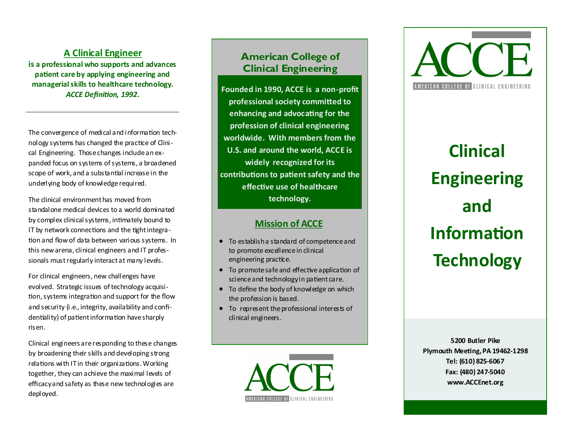## **A Clinical Engineer**

**is a professional who supports and advances patient care by applying engineering and managerial skills to healthcare technology.**  *ACCE Definition, 1992* **.**

The convergence of medical and information technology systems has changed the practice of Clinical Engineering. Those changes include an expanded focus on systems of systems, a broadened scope of work, and a substantial increase in the underlying body of knowledge required.

The clinical environment has moved from standalone medical devices to a world dominated by complex clinical systems, intimately bound to IT by network connections and the tight integration and flow of data between various systems. In this new arena, clinical engineers and IT professionals must regularly interact at many levels.

For clinical engineers, new challenges have evolved. Strategic issues of technology acquisition, systems integration and support for the flow and security (i.e., integrity, availability and confidentiality) of patient information have sharply risen.

Clinical engineers are responding to these changes by broadening their skills and developing strong relations with IT in their organizations. Working together, they can achieve the maximal levels of efficacy and safety as these new technologies are deployed.

# **American College of Clinical Engineering**

**Founded in 1990, ACCE is a non -profit professional society committed to enhancing and advocating for the profession of clinical engineering worldwide. With members from the U.S. and around the world, ACCE is widely recognized for its contributions to patient safety and the effective use of healthcare technology.** 

# **Mission of ACCE**

- To establish a standard of competence and to promote excellence in clinical engineering practice.
- To promote safe and effective application of science and technology in patient care.
- To define the body of knowledge on which the profession is based.
- To represent the professional interests of clinical engineers.

AMERICAN COLLEGE OF CLINICAL ENGINEERING



**Clinical Engineering and Information Technology**

**5200 Butler Pike Plymouth Meeting, PA 19462 -1298 Tel: (610) 825 -6067 Fax: (480) 247 -5040 www.ACCEnet.org**